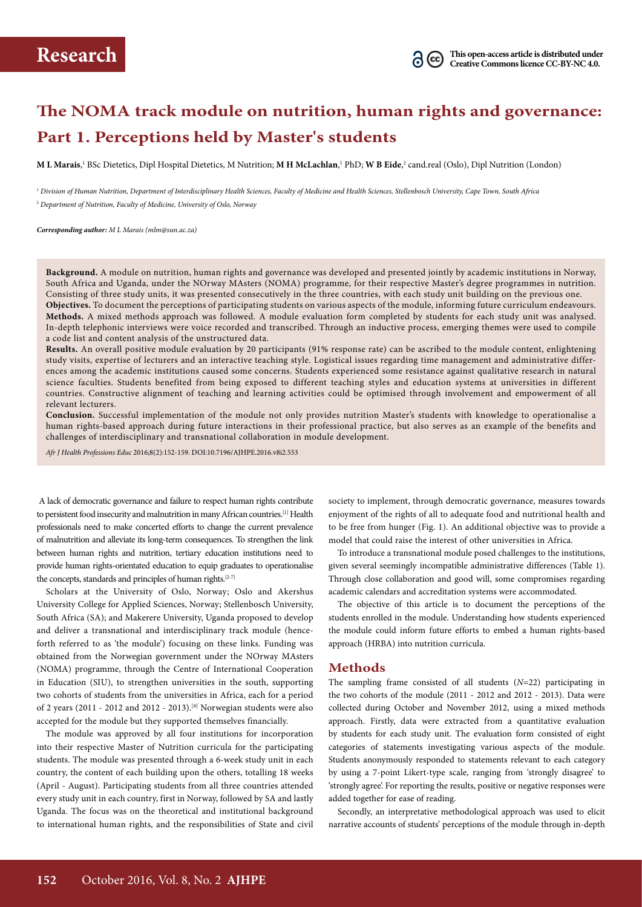# **The NOMA track module on nutrition, human rights and governance: Part 1. Perceptions held by Master's students**

 ${\bf M}$  **L Marais,**' BSc Dietetics, Dipl Hospital Dietetics, M Nutrition; **M H McLachlan**,' PhD; **W B Eide,**? cand.real (Oslo), Dipl Nutrition (London)

<sup>1</sup> *Division of Human Nutrition, Department of Interdisciplinary Health Sciences, Faculty of Medicine and Health Sciences, Stellenbosch University, Cape Town, South Africa* 2  *Department of Nutrition, Faculty of Medicine, University of Oslo, Norway*

*Corresponding author: M L Marais (mlm@sun.ac.za)*

**Background.** A module on nutrition, human rights and governance was developed and presented jointly by academic institutions in Norway, South Africa and Uganda, under the NOrway MAsters (NOMA) programme, for their respective Master's degree programmes in nutrition. Consisting of three study units, it was presented consecutively in the three countries, with each study unit building on the previous one. **Objectives.** To document the perceptions of participating students on various aspects of the module, informing future curriculum endeavours. **Methods.** A mixed methods approach was followed. A module evaluation form completed by students for each study unit was analysed. In-depth telephonic interviews were voice recorded and transcribed. Through an inductive process, emerging themes were used to compile a code list and content analysis of the unstructured data.

**Results.** An overall positive module evaluation by 20 participants (91% response rate) can be ascribed to the module content, enlightening study visits, expertise of lecturers and an interactive teaching style. Logistical issues regarding time management and administrative differences among the academic institutions caused some concerns. Students experienced some resistance against qualitative research in natural science faculties. Students benefited from being exposed to different teaching styles and education systems at universities in different countries. Constructive alignment of teaching and learning activities could be optimised through involvement and empowerment of all relevant lecturers.

**Conclusion.** Successful implementation of the module not only provides nutrition Master's students with knowledge to operationalise a human rights-based approach during future interactions in their professional practice, but also serves as an example of the benefits and challenges of interdisciplinary and transnational collaboration in module development.

*Afr J Health Professions Educ* 2016;8(2):152-159. DOI:10.7196/AJHPE.2016.v8i2.553

 A lack of democratic governance and failure to respect human rights contribute to persistent food insecurity and malnutrition in many African countries.[1] Health professionals need to make concerted efforts to change the current prevalence of malnutrition and alleviate its long-term consequences. To strengthen the link between human rights and nutrition, tertiary education institutions need to provide human rights-orientated education to equip graduates to operationalise the concepts, standards and principles of human rights.<sup>[2-7]</sup>

Scholars at the University of Oslo, Norway; Oslo and Akershus University College for Applied Sciences, Norway; Stellenbosch University, South Africa (SA); and Makerere University, Uganda proposed to develop and deliver a transnational and interdisciplinary track module (henceforth referred to as 'the module') focusing on these links. Funding was obtained from the Norwegian government under the NOrway MAsters (NOMA) programme, through the Centre of International Cooperation in Education (SIU), to strengthen universities in the south, supporting two cohorts of students from the universities in Africa, each for a period of 2 years (2011 - 2012 and 2012 - 2013).[8] Norwegian students were also accepted for the module but they supported themselves financially.

The module was approved by all four institutions for incorporation into their respective Master of Nutrition curricula for the participating students. The module was presented through a 6-week study unit in each country, the content of each building upon the others, totalling 18 weeks (April - August). Participating students from all three countries attended every study unit in each country, first in Norway, followed by SA and lastly Uganda. The focus was on the theoretical and institutional background to international human rights, and the responsibilities of State and civil society to implement, through democratic governance, measures towards enjoyment of the rights of all to adequate food and nutritional health and to be free from hunger (Fig. 1). An additional objective was to provide a model that could raise the interest of other universities in Africa.

To introduce a transnational module posed challenges to the institutions, given several seemingly incompatible administrative differences (Table 1). Through close collaboration and good will, some compromises regarding academic calendars and accreditation systems were accommodated.

The objective of this article is to document the perceptions of the students enrolled in the module. Understanding how students experienced the module could inform future efforts to embed a human rights-based approach (HRBA) into nutrition curricula.

#### **Methods**

The sampling frame consisted of all students (*N*=22) participating in the two cohorts of the module (2011 - 2012 and 2012 - 2013). Data were collected during October and November 2012, using a mixed methods approach. Firstly, data were extracted from a quantitative evaluation by students for each study unit. The evaluation form consisted of eight categories of statements investigating various aspects of the module. Students anonymously responded to statements relevant to each category by using a 7-point Likert-type scale, ranging from 'strongly disagree' to 'strongly agree'. For reporting the results, positive or negative responses were added together for ease of reading.

Secondly, an interpretative methodological approach was used to elicit narrative accounts of students' perceptions of the module through in-depth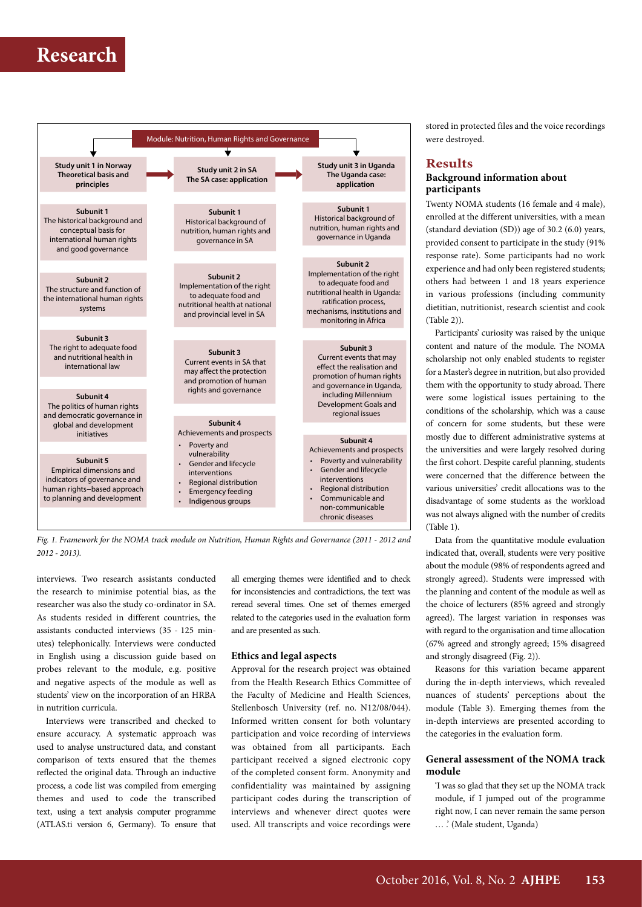

*Fig. 1. Framework for the NOMA track module on Nutrition, Human Rights and Governance (2011 - 2012 and 2012 - 2013).*

interviews. Two research assistants conducted the research to minimise potential bias, as the researcher was also the study co-ordinator in SA. As students resided in different countries, the assistants conducted interviews (35 - 125 minutes) telephonically. Interviews were conducted in English using a discussion guide based on probes relevant to the module, e.g. positive and negative aspects of the module as well as students' view on the incorporation of an HRBA in nutrition curricula.

Interviews were transcribed and checked to ensure accuracy. A systematic approach was used to analyse unstructured data, and constant comparison of texts ensured that the themes reflected the original data. Through an inductive process, a code list was compiled from emerging themes and used to code the transcribed text, using a text analysis computer programme (ATLAS.ti version 6, Germany). To ensure that all emerging themes were identified and to check for inconsistencies and contradictions, the text was reread several times. One set of themes emerged related to the categories used in the evaluation form and are presented as such.

#### **Ethics and legal aspects**

Approval for the research project was obtained from the Health Research Ethics Committee of the Faculty of Medicine and Health Sciences, Stellenbosch University (ref. no. N12/08/044). Informed written consent for both voluntary participation and voice recording of interviews was obtained from all participants. Each participant received a signed electronic copy of the completed consent form. Anonymity and confidentiality was maintained by assigning participant codes during the transcription of interviews and whenever direct quotes were used. All transcripts and voice recordings were

stored in protected files and the voice recordings were destroyed.

## **Results**

### **Background information about participants**

Twenty NOMA students (16 female and 4 male), enrolled at the different universities, with a mean (standard deviation (SD)) age of 30.2 (6.0) years, provided consent to participate in the study (91% response rate). Some participants had no work experience and had only been registered students; others had between 1 and 18 years experience in various professions (including community dietitian, nutritionist, research scientist and cook (Table 2)).

Participants' curiosity was raised by the unique content and nature of the module. The NOMA scholarship not only enabled students to register for a Master's degree in nutrition, but also provided them with the opportunity to study abroad. There were some logistical issues pertaining to the conditions of the scholarship, which was a cause of concern for some students, but these were mostly due to different administrative systems at the universities and were largely resolved during the first cohort. Despite careful planning, students were concerned that the difference between the various universities' credit allocations was to the disadvantage of some students as the workload was not always aligned with the number of credits (Table 1).

Data from the quantitative module evaluation indicated that, overall, students were very positive about the module (98% of respondents agreed and strongly agreed). Students were impressed with the planning and content of the module as well as the choice of lecturers (85% agreed and strongly agreed). The largest variation in responses was with regard to the organisation and time allocation (67% agreed and strongly agreed; 15% disagreed and strongly disagreed (Fig. 2)).

Reasons for this variation became apparent during the in-depth interviews, which revealed nuances of students' perceptions about the module (Table 3). Emerging themes from the in-depth interviews are presented according to the categories in the evaluation form.

### **General assessment of the NOMA track module**

'I was so glad that they set up the NOMA track module, if I jumped out of the programme right now, I can never remain the same person … .' (Male student, Uganda)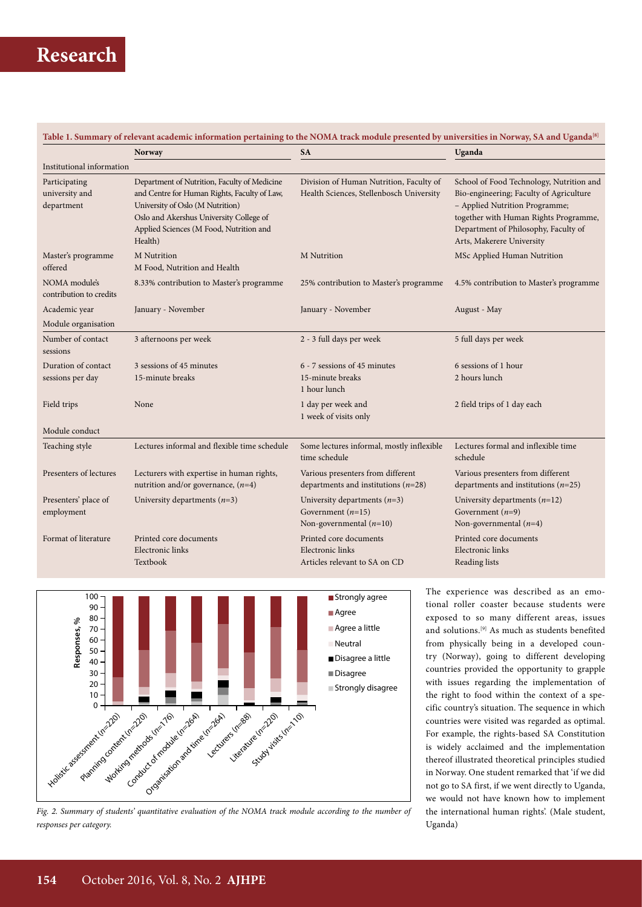### **Table 1. Summary of relevant academic information pertaining to the NOMA track module presented by universities in Norway, SA and Uganda[8]**

|                                               | Norway                                                                                                                                                                                                                            | <b>SA</b>                                                                           | Uganda                                                                                                                                                                                                                              |  |
|-----------------------------------------------|-----------------------------------------------------------------------------------------------------------------------------------------------------------------------------------------------------------------------------------|-------------------------------------------------------------------------------------|-------------------------------------------------------------------------------------------------------------------------------------------------------------------------------------------------------------------------------------|--|
| Institutional information                     |                                                                                                                                                                                                                                   |                                                                                     |                                                                                                                                                                                                                                     |  |
| Participating<br>university and<br>department | Department of Nutrition, Faculty of Medicine<br>and Centre for Human Rights, Faculty of Law,<br>University of Oslo (M Nutrition)<br>Oslo and Akershus University College of<br>Applied Sciences (M Food, Nutrition and<br>Health) | Division of Human Nutrition, Faculty of<br>Health Sciences, Stellenbosch University | School of Food Technology, Nutrition and<br>Bio-engineering; Faculty of Agriculture<br>- Applied Nutrition Programme;<br>together with Human Rights Programme,<br>Department of Philosophy, Faculty of<br>Arts, Makerere University |  |
| Master's programme<br>offered                 | M Nutrition<br>M Nutrition<br>M Food, Nutrition and Health                                                                                                                                                                        |                                                                                     | MSc Applied Human Nutrition                                                                                                                                                                                                         |  |
| NOMA module's<br>contribution to credits      | 8.33% contribution to Master's programme                                                                                                                                                                                          | 25% contribution to Master's programme                                              | 4.5% contribution to Master's programme                                                                                                                                                                                             |  |
| Academic year                                 | January - November                                                                                                                                                                                                                | January - November                                                                  | August - May                                                                                                                                                                                                                        |  |
| Module organisation                           |                                                                                                                                                                                                                                   |                                                                                     |                                                                                                                                                                                                                                     |  |
| Number of contact<br>sessions                 | 3 afternoons per week                                                                                                                                                                                                             | 2 - 3 full days per week                                                            | 5 full days per week                                                                                                                                                                                                                |  |
| Duration of contact<br>sessions per day       | 3 sessions of 45 minutes<br>15-minute breaks                                                                                                                                                                                      | 6 - 7 sessions of 45 minutes<br>15-minute breaks<br>1 hour lunch                    | 6 sessions of 1 hour<br>2 hours lunch                                                                                                                                                                                               |  |
| Field trips                                   | None                                                                                                                                                                                                                              | 1 day per week and<br>1 week of visits only                                         | 2 field trips of 1 day each                                                                                                                                                                                                         |  |
| Module conduct                                |                                                                                                                                                                                                                                   |                                                                                     |                                                                                                                                                                                                                                     |  |
| Teaching style                                | Lectures informal and flexible time schedule                                                                                                                                                                                      | Some lectures informal, mostly inflexible<br>time schedule                          | Lectures formal and inflexible time<br>schedule                                                                                                                                                                                     |  |
| Presenters of lectures                        | Lecturers with expertise in human rights,<br>nutrition and/or governance, $(n=4)$                                                                                                                                                 | Various presenters from different<br>departments and institutions $(n=28)$          | Various presenters from different<br>departments and institutions $(n=25)$                                                                                                                                                          |  |
| Presenters' place of<br>employment            | University departments $(n=3)$                                                                                                                                                                                                    | University departments $(n=3)$<br>Government $(n=15)$<br>Non-governmental $(n=10)$  | University departments $(n=12)$<br>Government $(n=9)$<br>Non-governmental $(n=4)$                                                                                                                                                   |  |
| Format of literature                          | Printed core documents<br>Electronic links<br>Textbook                                                                                                                                                                            | Printed core documents<br>Electronic links<br>Articles relevant to SA on CD         | Printed core documents<br>Electronic links<br>Reading lists                                                                                                                                                                         |  |





The experience was described as an emotional roller coaster because students were exposed to so many different areas, issues and solutions.[9] As much as students benefited from physically being in a developed country (Norway), going to different developing countries provided the opportunity to grapple with issues regarding the implementation of the right to food within the context of a specific country's situation. The sequence in which countries were visited was regarded as optimal. For example, the rights-based SA Constitution is widely acclaimed and the implementation thereof illustrated theoretical principles studied in Norway. One student remarked that 'if we did not go to SA first, if we went directly to Uganda, we would not have known how to implement the international human rights'. (Male student, Uganda)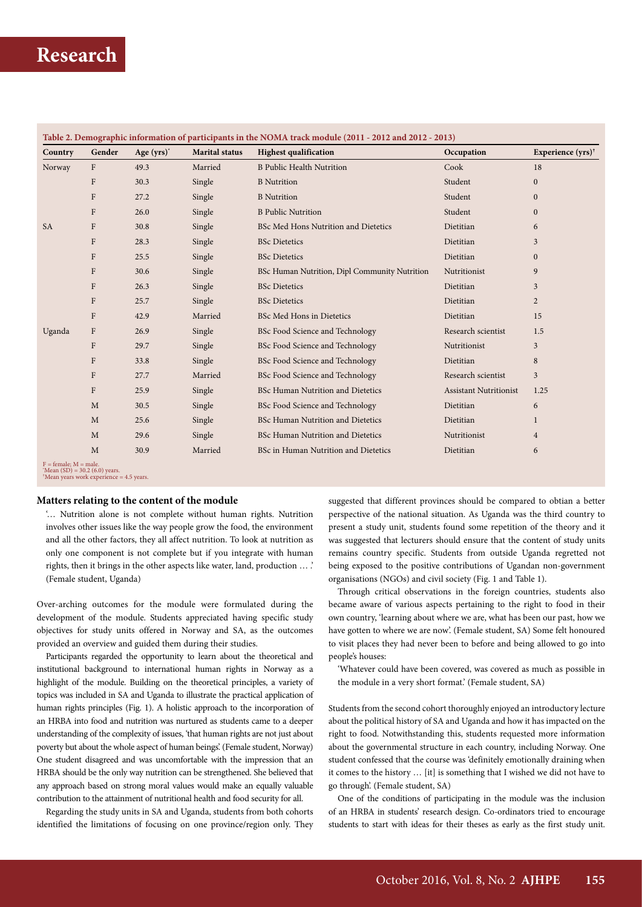| Country   | Gender       | Age $(yrs)^*$ | <b>Marital status</b> | <b>Highest qualification</b>                  | Occupation                    | Experience (yrs) <sup>†</sup> |
|-----------|--------------|---------------|-----------------------|-----------------------------------------------|-------------------------------|-------------------------------|
| Norway    | $\Gamma$     | 49.3          | Married               | <b>B Public Health Nutrition</b>              | Cook                          | 18                            |
|           | $\mathbf{F}$ | 30.3          | Single                | <b>B</b> Nutrition                            | Student                       | $\mathbf{0}$                  |
|           | $\mathbf{F}$ | 27.2          | Single                | <b>B</b> Nutrition                            | Student                       | $\mathbf{0}$                  |
|           | $\mathbf{F}$ | 26.0          | Single                | <b>B</b> Public Nutrition                     | Student                       | $\mathbf{0}$                  |
| <b>SA</b> | F            | 30.8          | Single                | BSc Med Hons Nutrition and Dietetics          | Dietitian                     | 6                             |
|           | F            | 28.3          | Single                | <b>BSc Dietetics</b>                          | Dietitian                     | 3                             |
|           | F            | 25.5          | Single                | <b>BSc Dietetics</b>                          | Dietitian                     | $\mathbf{0}$                  |
|           | $\mathbf{F}$ | 30.6          | Single                | BSc Human Nutrition, Dipl Community Nutrition | Nutritionist                  | 9                             |
|           | F            | 26.3          | Single                | <b>BSc Dietetics</b>                          | Dietitian                     | 3                             |
|           | $\mathbf{F}$ | 25.7          | Single                | <b>BSc Dietetics</b>                          | Dietitian                     | $\overline{2}$                |
|           | $\mathbf{F}$ | 42.9          | Married               | <b>BSc Med Hons in Dietetics</b>              | Dietitian                     | 15                            |
| Uganda    | $\mathbf{F}$ | 26.9          | Single                | BSc Food Science and Technology               | Research scientist            | 1.5                           |
|           | $\mathbf{F}$ | 29.7          | Single                | BSc Food Science and Technology               | Nutritionist                  | 3                             |
|           | ${\rm F}$    | 33.8          | Single                | BSc Food Science and Technology               | Dietitian                     | 8                             |
|           | $\mathbf{F}$ | 27.7          | Married               | BSc Food Science and Technology               | Research scientist            | 3                             |
|           | F            | 25.9          | Single                | <b>BSc Human Nutrition and Dietetics</b>      | <b>Assistant Nutritionist</b> | 1.25                          |
|           | M            | 30.5          | Single                | BSc Food Science and Technology               | Dietitian                     | 6                             |
|           | M            | 25.6          | Single                | <b>BSc Human Nutrition and Dietetics</b>      | Dietitian                     | 1                             |
|           | M            | 29.6          | Single                | <b>BSc Human Nutrition and Dietetics</b>      | Nutritionist                  | $\overline{4}$                |
|           | $\mathbf{M}$ | 30.9          | Married               | BSc in Human Nutrition and Dietetics          | Dietitian                     | 6                             |

\* Mean (SD) = 30.2 (6.0) years. † Mean years work experience = 4.5 years.

### **Matters relating to the content of the module**

'… Nutrition alone is not complete without human rights. Nutrition involves other issues like the way people grow the food, the environment and all the other factors, they all affect nutrition. To look at nutrition as only one component is not complete but if you integrate with human rights, then it brings in the other aspects like water, land, production … .' (Female student, Uganda)

Over-arching outcomes for the module were formulated during the development of the module. Students appreciated having specific study objectives for study units offered in Norway and SA, as the outcomes provided an overview and guided them during their studies.

Participants regarded the opportunity to learn about the theoretical and institutional background to international human rights in Norway as a highlight of the module. Building on the theoretical principles, a variety of topics was included in SA and Uganda to illustrate the practical application of human rights principles (Fig. 1). A holistic approach to the incorporation of an HRBA into food and nutrition was nurtured as students came to a deeper understanding of the complexity of issues, 'that human rights are not just about poverty but about the whole aspect of human beings'. (Female student, Norway) One student disagreed and was uncomfortable with the impression that an HRBA should be the only way nutrition can be strengthened. She believed that any approach based on strong moral values would make an equally valuable contribution to the attainment of nutritional health and food security for all.

Regarding the study units in SA and Uganda, students from both cohorts identified the limitations of focusing on one province/region only. They

suggested that different provinces should be compared to obtian a better perspective of the national situation. As Uganda was the third country to present a study unit, students found some repetition of the theory and it was suggested that lecturers should ensure that the content of study units remains country specific. Students from outside Uganda regretted not being exposed to the positive contributions of Ugandan non-government organisations (NGOs) and civil society (Fig. 1 and Table 1).

Through critical observations in the foreign countries, students also became aware of various aspects pertaining to the right to food in their own country, 'learning about where we are, what has been our past, how we have gotten to where we are now'. (Female student, SA) Some felt honoured to visit places they had never been to before and being allowed to go into people's houses:

'Whatever could have been covered, was covered as much as possible in the module in a very short format.' (Female student, SA)

Students from the second cohort thoroughly enjoyed an introductory lecture about the political history of SA and Uganda and how it has impacted on the right to food. Notwithstanding this, students requested more information about the governmental structure in each country, including Norway. One student confessed that the course was 'definitely emotionally draining when it comes to the history … [it] is something that I wished we did not have to go through'. (Female student, SA)

One of the conditions of participating in the module was the inclusion of an HRBA in students' research design. Co-ordinators tried to encourage students to start with ideas for their theses as early as the first study unit.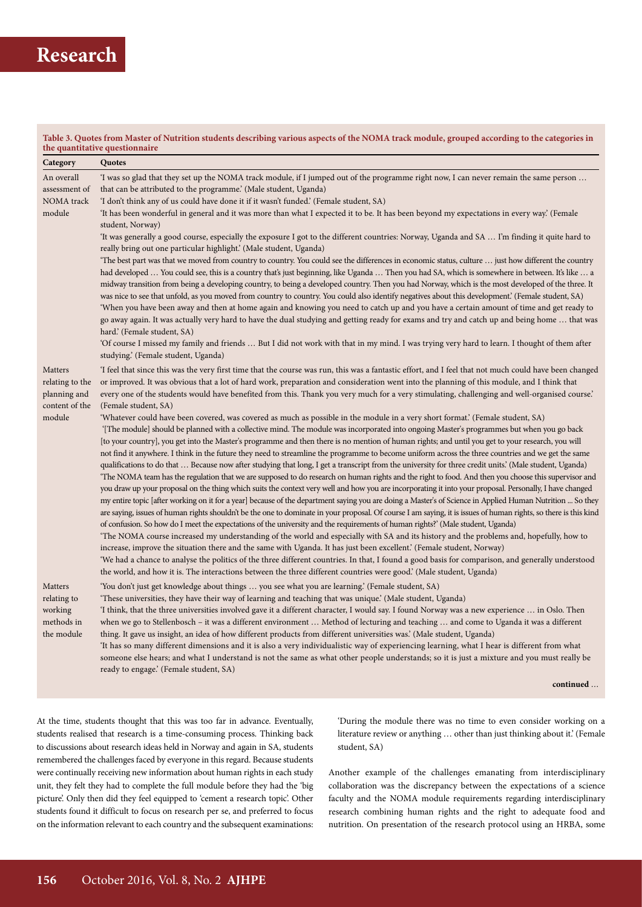**Table 3. Quotes from Master of Nutrition students describing various aspects of the NOMA track module, grouped according to the categories in the quantitative questionnaire** 

| Category                                                               | Quotes                                                                                                                                                                                                                                                                                                                                                                                                                                                                                                                                                                                                                                                                                                                                                                                                                                                                                                                                                                                                                                                                                                                                                                                                                                                                                                                                                                                                                                                                                                                                                                                                                                                                                                                                                                                                                                                                                                                                                                                                                                                                                                                                                                                                                                                                                                                                                                                                                                                                                                                                                                 |
|------------------------------------------------------------------------|------------------------------------------------------------------------------------------------------------------------------------------------------------------------------------------------------------------------------------------------------------------------------------------------------------------------------------------------------------------------------------------------------------------------------------------------------------------------------------------------------------------------------------------------------------------------------------------------------------------------------------------------------------------------------------------------------------------------------------------------------------------------------------------------------------------------------------------------------------------------------------------------------------------------------------------------------------------------------------------------------------------------------------------------------------------------------------------------------------------------------------------------------------------------------------------------------------------------------------------------------------------------------------------------------------------------------------------------------------------------------------------------------------------------------------------------------------------------------------------------------------------------------------------------------------------------------------------------------------------------------------------------------------------------------------------------------------------------------------------------------------------------------------------------------------------------------------------------------------------------------------------------------------------------------------------------------------------------------------------------------------------------------------------------------------------------------------------------------------------------------------------------------------------------------------------------------------------------------------------------------------------------------------------------------------------------------------------------------------------------------------------------------------------------------------------------------------------------------------------------------------------------------------------------------------------------|
| An overall<br>assessment of<br>NOMA track<br>module                    | 'I was so glad that they set up the NOMA track module, if I jumped out of the programme right now, I can never remain the same person<br>that can be attributed to the programme.' (Male student, Uganda)<br>'I don't think any of us could have done it if it wasn't funded.' (Female student, SA)<br>'It has been wonderful in general and it was more than what I expected it to be. It has been beyond my expectations in every way.' (Female                                                                                                                                                                                                                                                                                                                                                                                                                                                                                                                                                                                                                                                                                                                                                                                                                                                                                                                                                                                                                                                                                                                                                                                                                                                                                                                                                                                                                                                                                                                                                                                                                                                                                                                                                                                                                                                                                                                                                                                                                                                                                                                      |
|                                                                        | student, Norway)<br>'It was generally a good course, especially the exposure I got to the different countries: Norway, Uganda and SA  I'm finding it quite hard to<br>really bring out one particular highlight' (Male student, Uganda)<br>'The best part was that we moved from country to country. You could see the differences in economic status, culture  just how different the country<br>had developed  You could see, this is a country that's just beginning, like Uganda  Then you had SA, which is somewhere in between. It's like  a<br>midway transition from being a developing country, to being a developed country. Then you had Norway, which is the most developed of the three. It<br>was nice to see that unfold, as you moved from country to country. You could also identify negatives about this development. (Female student, SA)<br>'When you have been away and then at home again and knowing you need to catch up and you have a certain amount of time and get ready to<br>go away again. It was actually very hard to have the dual studying and getting ready for exams and try and catch up and being home  that was<br>hard.' (Female student, SA)<br>'Of course I missed my family and friends  But I did not work with that in my mind. I was trying very hard to learn. I thought of them after<br>studying.' (Female student, Uganda)                                                                                                                                                                                                                                                                                                                                                                                                                                                                                                                                                                                                                                                                                                                                                                                                                                                                                                                                                                                                                                                                                                                                                                                         |
| Matters<br>relating to the<br>planning and<br>content of the<br>module | 'I feel that since this was the very first time that the course was run, this was a fantastic effort, and I feel that not much could have been changed<br>or improved. It was obvious that a lot of hard work, preparation and consideration went into the planning of this module, and I think that<br>every one of the students would have benefited from this. Thank you very much for a very stimulating, challenging and well-organised course.'<br>(Female student, SA)<br>'Whatever could have been covered, was covered as much as possible in the module in a very short format.' (Female student, SA)<br>'[The module] should be planned with a collective mind. The module was incorporated into ongoing Master's programmes but when you go back<br>[to your country], you get into the Master's programme and then there is no mention of human rights; and until you get to your research, you will<br>not find it anywhere. I think in the future they need to streamline the programme to become uniform across the three countries and we get the same<br>qualifications to do that  Because now after studying that long, I get a transcript from the university for three credit units' (Male student, Uganda)<br>'The NOMA team has the regulation that we are supposed to do research on human rights and the right to food. And then you choose this supervisor and<br>you draw up your proposal on the thing which suits the context very well and how you are incorporating it into your proposal. Personally, I have changed<br>my entire topic [after working on it for a year] because of the department saying you are doing a Master's of Science in Applied Human Nutrition  So they<br>are saying, issues of human rights shouldn't be the one to dominate in your proposal. Of course I am saying, it is issues of human rights, so there is this kind<br>of confusion. So how do I meet the expectations of the university and the requirements of human rights?' (Male student, Uganda)<br>The NOMA course increased my understanding of the world and especially with SA and its history and the problems and, hopefully, how to<br>increase, improve the situation there and the same with Uganda. It has just been excellent.' (Female student, Norway)<br>We had a chance to analyse the politics of the three different countries. In that, I found a good basis for comparison, and generally understood<br>the world, and how it is. The interactions between the three different countries were good. (Male student, Uganda) |
| Matters<br>relating to<br>working<br>methods in<br>the module          | 'You don't just get knowledge about things  you see what you are learning.' (Female student, SA)<br>'These universities, they have their way of learning and teaching that was unique.' (Male student, Uganda)<br>'I think, that the three universities involved gave it a different character, I would say. I found Norway was a new experience  in Oslo. Then<br>when we go to Stellenbosch - it was a different environment  Method of lecturing and teaching  and come to Uganda it was a different<br>thing. It gave us insight, an idea of how different products from different universities was' (Male student, Uganda)<br>It has so many different dimensions and it is also a very individualistic way of experiencing learning, what I hear is different from what<br>someone else hears; and what I understand is not the same as what other people understands; so it is just a mixture and you must really be<br>ready to engage.' (Female student, SA)                                                                                                                                                                                                                                                                                                                                                                                                                                                                                                                                                                                                                                                                                                                                                                                                                                                                                                                                                                                                                                                                                                                                                                                                                                                                                                                                                                                                                                                                                                                                                                                                  |

**continued** *…*

At the time, students thought that this was too far in advance. Eventually, students realised that research is a time-consuming process. Thinking back to discussions about research ideas held in Norway and again in SA, students remembered the challenges faced by everyone in this regard. Because students were continually receiving new information about human rights in each study unit, they felt they had to complete the full module before they had the 'big picture'. Only then did they feel equipped to 'cement a research topic'. Other students found it difficult to focus on research per se, and preferred to focus on the information relevant to each country and the subsequent examinations: 'During the module there was no time to even consider working on a literature review or anything … other than just thinking about it.' (Female student, SA)

Another example of the challenges emanating from interdisciplinary collaboration was the discrepancy between the expectations of a science faculty and the NOMA module requirements regarding interdisciplinary research combining human rights and the right to adequate food and nutrition. On presentation of the research protocol using an HRBA, some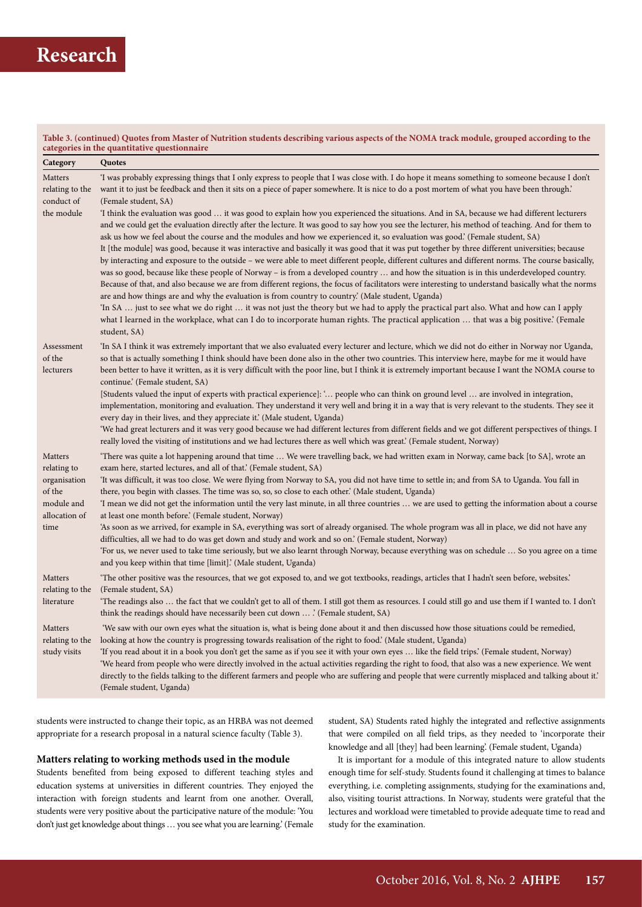**Table 3. (continued) Quotes from Master of Nutrition students describing various aspects of the NOMA track module, grouped according to the categories in the quantitative questionnaire**

| Category                                                                                | Quotes                                                                                                                                                                                                                                                                                                                                                                                                                                                                                                                                                                                                                                                                                                                                                                                                                                                                                                                                                                                                                                                                                                                                                                                                                                                                                                                                                                                                                                            |
|-----------------------------------------------------------------------------------------|---------------------------------------------------------------------------------------------------------------------------------------------------------------------------------------------------------------------------------------------------------------------------------------------------------------------------------------------------------------------------------------------------------------------------------------------------------------------------------------------------------------------------------------------------------------------------------------------------------------------------------------------------------------------------------------------------------------------------------------------------------------------------------------------------------------------------------------------------------------------------------------------------------------------------------------------------------------------------------------------------------------------------------------------------------------------------------------------------------------------------------------------------------------------------------------------------------------------------------------------------------------------------------------------------------------------------------------------------------------------------------------------------------------------------------------------------|
| Matters<br>relating to the<br>conduct of                                                | 'I was probably expressing things that I only express to people that I was close with. I do hope it means something to someone because I don't<br>want it to just be feedback and then it sits on a piece of paper somewhere. It is nice to do a post mortem of what you have been through.'<br>(Female student, SA)                                                                                                                                                                                                                                                                                                                                                                                                                                                                                                                                                                                                                                                                                                                                                                                                                                                                                                                                                                                                                                                                                                                              |
| the module                                                                              | I think the evaluation was good  it was good to explain how you experienced the situations. And in SA, because we had different lecturers<br>and we could get the evaluation directly after the lecture. It was good to say how you see the lecturer, his method of teaching. And for them to<br>ask us how we feel about the course and the modules and how we experienced it, so evaluation was good. (Female student, SA)<br>It [the module] was good, because it was interactive and basically it was good that it was put together by three different universities; because<br>by interacting and exposure to the outside - we were able to meet different people, different cultures and different norms. The course basically,<br>was so good, because like these people of Norway - is from a developed country  and how the situation is in this underdeveloped country.<br>Because of that, and also because we are from different regions, the focus of facilitators were interesting to understand basically what the norms<br>are and how things are and why the evaluation is from country to country.' (Male student, Uganda)<br>In SA  just to see what we do right  it was not just the theory but we had to apply the practical part also. What and how can I apply<br>what I learned in the workplace, what can I do to incorporate human rights. The practical application  that was a big positive.' (Female<br>student, SA) |
| Assessment<br>of the<br>lecturers                                                       | 'In SA I think it was extremely important that we also evaluated every lecturer and lecture, which we did not do either in Norway nor Uganda,<br>so that is actually something I think should have been done also in the other two countries. This interview here, maybe for me it would have<br>been better to have it written, as it is very difficult with the poor line, but I think it is extremely important because I want the NOMA course to<br>continue.' (Female student, SA)<br>[Students valued the input of experts with practical experience]: ' people who can think on ground level  are involved in integration,<br>implementation, monitoring and evaluation. They understand it very well and bring it in a way that is very relevant to the students. They see it<br>every day in their lives, and they appreciate it.' (Male student, Uganda)<br>'We had great lecturers and it was very good because we had different lectures from different fields and we got different perspectives of things. I<br>really loved the visiting of institutions and we had lectures there as well which was great. (Female student, Norway)                                                                                                                                                                                                                                                                                                |
| Matters<br>relating to<br>organisation<br>of the<br>module and<br>allocation of<br>time | 'There was quite a lot happening around that time  We were travelling back, we had written exam in Norway, came back [to SA], wrote an<br>exam here, started lectures, and all of that.' (Female student, SA)<br>'It was difficult, it was too close. We were flying from Norway to SA, you did not have time to settle in; and from SA to Uganda. You fall in<br>there, you begin with classes. The time was so, so, so close to each other.' (Male student, Uganda)<br>T mean we did not get the information until the very last minute, in all three countries  we are used to getting the information about a course<br>at least one month before.' (Female student, Norway)<br>'As soon as we arrived, for example in SA, everything was sort of already organised. The whole program was all in place, we did not have any<br>difficulties, all we had to do was get down and study and work and so on.' (Female student, Norway)<br>'For us, we never used to take time seriously, but we also learnt through Norway, because everything was on schedule  So you agree on a time<br>and you keep within that time [limit].' (Male student, Uganda)                                                                                                                                                                                                                                                                                         |
| Matters<br>relating to the<br>literature                                                | The other positive was the resources, that we got exposed to, and we got textbooks, readings, articles that I hadn't seen before, websites.<br>(Female student, SA)<br>'The readings also  the fact that we couldn't get to all of them. I still got them as resources. I could still go and use them if I wanted to. I don't<br>think the readings should have necessarily been cut down  ' (Female student, SA)                                                                                                                                                                                                                                                                                                                                                                                                                                                                                                                                                                                                                                                                                                                                                                                                                                                                                                                                                                                                                                 |
| Matters<br>relating to the<br>study visits                                              | We saw with our own eyes what the situation is, what is being done about it and then discussed how those situations could be remedied,<br>looking at how the country is progressing towards realisation of the right to food.' (Male student, Uganda)<br>'If you read about it in a book you don't get the same as if you see it with your own eyes  like the field trips.' (Female student, Norway)<br>'We heard from people who were directly involved in the actual activities regarding the right to food, that also was a new experience. We went<br>directly to the fields talking to the different farmers and people who are suffering and people that were currently misplaced and talking about it.<br>(Female student, Uganda)                                                                                                                                                                                                                                                                                                                                                                                                                                                                                                                                                                                                                                                                                                         |

students were instructed to change their topic, as an HRBA was not deemed appropriate for a research proposal in a natural science faculty (Table 3).

### **Matters relating to working methods used in the module**

Students benefited from being exposed to different teaching styles and education systems at universities in different countries. They enjoyed the interaction with foreign students and learnt from one another. Overall, students were very positive about the participative nature of the module: 'You don't just get knowledge about things … you see what you are learning.' (Female student, SA) Students rated highly the integrated and reflective assignments that were compiled on all field trips, as they needed to 'incorporate their knowledge and all [they] had been learning'. (Female student, Uganda)

It is important for a module of this integrated nature to allow students enough time for self-study. Students found it challenging at times to balance everything, i.e. completing assignments, studying for the examinations and, also, visiting tourist attractions. In Norway, students were grateful that the lectures and workload were timetabled to provide adequate time to read and study for the examination.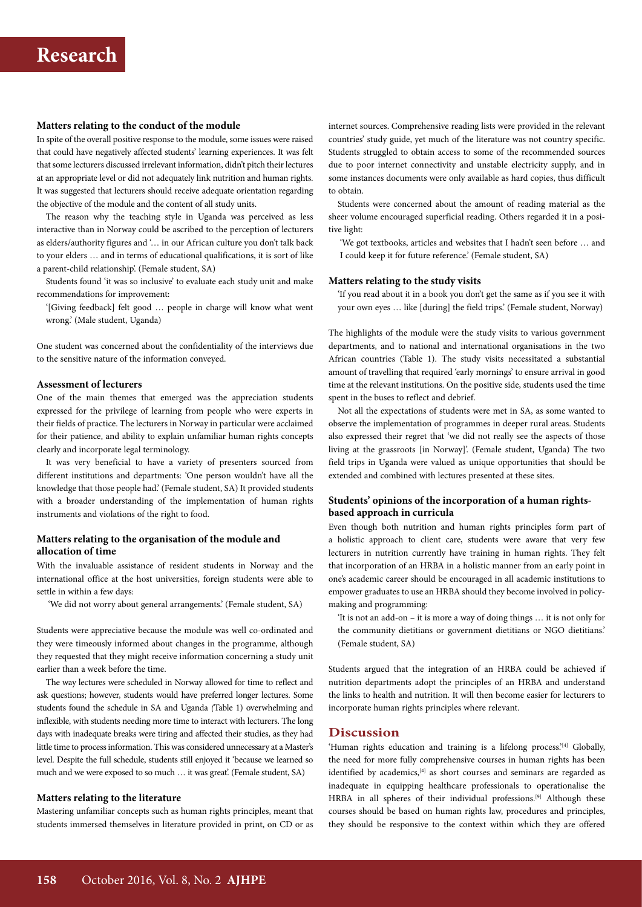#### **Matters relating to the conduct of the module**

In spite of the overall positive response to the module, some issues were raised that could have negatively affected students' learning experiences. It was felt that some lecturers discussed irrelevant information, didn't pitch their lectures at an appropriate level or did not adequately link nutrition and human rights. It was suggested that lecturers should receive adequate orientation regarding the objective of the module and the content of all study units.

The reason why the teaching style in Uganda was perceived as less interactive than in Norway could be ascribed to the perception of lecturers as elders/authority figures and '… in our African culture you don't talk back to your elders … and in terms of educational qualifications, it is sort of like a parent-child relationship'. (Female student, SA)

Students found 'it was so inclusive' to evaluate each study unit and make recommendations for improvement:

'[Giving feedback] felt good … people in charge will know what went wrong.' (Male student, Uganda)

One student was concerned about the confidentiality of the interviews due to the sensitive nature of the information conveyed.

#### **Assessment of lecturers**

One of the main themes that emerged was the appreciation students expressed for the privilege of learning from people who were experts in their fields of practice. The lecturers in Norway in particular were acclaimed for their patience, and ability to explain unfamiliar human rights concepts clearly and incorporate legal terminology.

It was very beneficial to have a variety of presenters sourced from different institutions and departments: 'One person wouldn't have all the knowledge that those people had.' (Female student, SA) It provided students with a broader understanding of the implementation of human rights instruments and violations of the right to food.

### **Matters relating to the organisation of the module and allocation of time**

With the invaluable assistance of resident students in Norway and the international office at the host universities, foreign students were able to settle in within a few days:

'We did not worry about general arrangements.' (Female student, SA)

Students were appreciative because the module was well co-ordinated and they were timeously informed about changes in the programme, although they requested that they might receive information concerning a study unit earlier than a week before the time.

The way lectures were scheduled in Norway allowed for time to reflect and ask questions; however, students would have preferred longer lectures. Some students found the schedule in SA and Uganda *(*Table 1) overwhelming and inflexible, with students needing more time to interact with lecturers. The long days with inadequate breaks were tiring and affected their studies, as they had little time to process information. This was considered unnecessary at a Master's level. Despite the full schedule, students still enjoyed it 'because we learned so much and we were exposed to so much … it was great'. (Female student, SA)

#### **Matters relating to the literature**

Mastering unfamiliar concepts such as human rights principles, meant that students immersed themselves in literature provided in print, on CD or as internet sources. Comprehensive reading lists were provided in the relevant countries' study guide, yet much of the literature was not country specific. Students struggled to obtain access to some of the recommended sources due to poor internet connectivity and unstable electricity supply, and in some instances documents were only available as hard copies, thus difficult to obtain.

Students were concerned about the amount of reading material as the sheer volume encouraged superficial reading. Others regarded it in a positive light:

'We got textbooks, articles and websites that I hadn't seen before … and I could keep it for future reference.' (Female student, SA)

#### **Matters relating to the study visits**

'If you read about it in a book you don't get the same as if you see it with your own eyes … like [during] the field trips.' (Female student, Norway)

The highlights of the module were the study visits to various government departments, and to national and international organisations in the two African countries (Table 1). The study visits necessitated a substantial amount of travelling that required 'early mornings' to ensure arrival in good time at the relevant institutions. On the positive side, students used the time spent in the buses to reflect and debrief.

Not all the expectations of students were met in SA, as some wanted to observe the implementation of programmes in deeper rural areas. Students also expressed their regret that 'we did not really see the aspects of those living at the grassroots [in Norway]'. (Female student, Uganda) The two field trips in Uganda were valued as unique opportunities that should be extended and combined with lectures presented at these sites.

### **Students' opinions of the incorporation of a human rightsbased approach in curricula**

Even though both nutrition and human rights principles form part of a holistic approach to client care, students were aware that very few lecturers in nutrition currently have training in human rights. They felt that incorporation of an HRBA in a holistic manner from an early point in one's academic career should be encouraged in all academic institutions to empower graduates to use an HRBA should they become involved in policymaking and programming:

'It is not an add-on – it is more a way of doing things … it is not only for the community dietitians or government dietitians or NGO dietitians.' (Female student, SA)

Students argued that the integration of an HRBA could be achieved if nutrition departments adopt the principles of an HRBA and understand the links to health and nutrition. It will then become easier for lecturers to incorporate human rights principles where relevant.

# **Discussion**

'Human rights education and training is a lifelong process.'<sup>[4]</sup> Globally, the need for more fully comprehensive courses in human rights has been identified by academics,<sup>[4]</sup> as short courses and seminars are regarded as inadequate in equipping healthcare professionals to operationalise the HRBA in all spheres of their individual professions.<sup>[9]</sup> Although these courses should be based on human rights law, procedures and principles, they should be responsive to the context within which they are offered